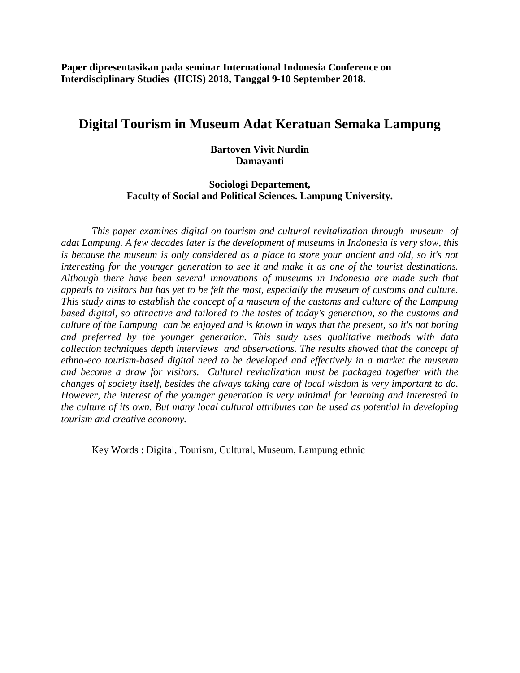**Paper dipresentasikan pada seminar International Indonesia Conference on Interdisciplinary Studies (IICIS) 2018, Tanggal 9-10 September 2018.** 

# **Digital Tourism in Museum Adat Keratuan Semaka Lampung**

### **Bartoven Vivit Nurdin Damayanti**

### **Sociologi Departement, Faculty of Social and Political Sciences. Lampung University.**

*This paper examines digital on tourism and cultural revitalization through museum of adat Lampung. A few decades later is the development of museums in Indonesia is very slow, this is because the museum is only considered as a place to store your ancient and old, so it's not interesting for the younger generation to see it and make it as one of the tourist destinations. Although there have been several innovations of museums in Indonesia are made such that appeals to visitors but has yet to be felt the most, especially the museum of customs and culture. This study aims to establish the concept of a museum of the customs and culture of the Lampung based digital, so attractive and tailored to the tastes of today's generation, so the customs and culture of the Lampung can be enjoyed and is known in ways that the present, so it's not boring and preferred by the younger generation. This study uses qualitative methods with data collection techniques depth interviews and observations. The results showed that the concept of ethno-eco tourism-based digital need to be developed and effectively in a market the museum and become a draw for visitors. Cultural revitalization must be packaged together with the changes of society itself, besides the always taking care of local wisdom is very important to do. However, the interest of the younger generation is very minimal for learning and interested in the culture of its own. But many local cultural attributes can be used as potential in developing tourism and creative economy.*

Key Words : Digital, Tourism, Cultural, Museum, Lampung ethnic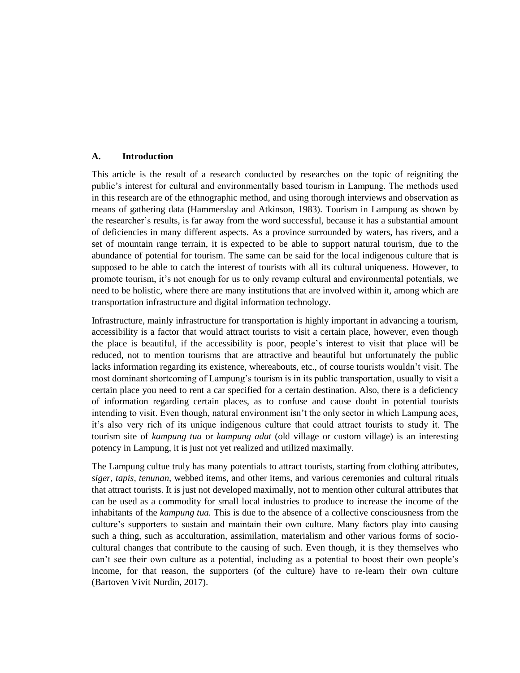#### **A. Introduction**

This article is the result of a research conducted by researches on the topic of reigniting the public's interest for cultural and environmentally based tourism in Lampung. The methods used in this research are of the ethnographic method, and using thorough interviews and observation as means of gathering data (Hammerslay and Atkinson, 1983). Tourism in Lampung as shown by the researcher's results, is far away from the word successful, because it has a substantial amount of deficiencies in many different aspects. As a province surrounded by waters, has rivers, and a set of mountain range terrain, it is expected to be able to support natural tourism, due to the abundance of potential for tourism. The same can be said for the local indigenous culture that is supposed to be able to catch the interest of tourists with all its cultural uniqueness. However, to promote tourism, it's not enough for us to only revamp cultural and environmental potentials, we need to be holistic, where there are many institutions that are involved within it, among which are transportation infrastructure and digital information technology.

Infrastructure, mainly infrastructure for transportation is highly important in advancing a tourism, accessibility is a factor that would attract tourists to visit a certain place, however, even though the place is beautiful, if the accessibility is poor, people's interest to visit that place will be reduced, not to mention tourisms that are attractive and beautiful but unfortunately the public lacks information regarding its existence, whereabouts, etc., of course tourists wouldn't visit. The most dominant shortcoming of Lampung's tourism is in its public transportation, usually to visit a certain place you need to rent a car specified for a certain destination. Also, there is a deficiency of information regarding certain places, as to confuse and cause doubt in potential tourists intending to visit. Even though, natural environment isn't the only sector in which Lampung aces, it's also very rich of its unique indigenous culture that could attract tourists to study it. The tourism site of *kampung tua* or *kampung adat* (old village or custom village) is an interesting potency in Lampung, it is just not yet realized and utilized maximally.

The Lampung cultue truly has many potentials to attract tourists, starting from clothing attributes, *siger, tapis, tenunan,* webbed items, and other items, and various ceremonies and cultural rituals that attract tourists. It is just not developed maximally, not to mention other cultural attributes that can be used as a commodity for small local industries to produce to increase the income of the inhabitants of the *kampung tua.* This is due to the absence of a collective consciousness from the culture's supporters to sustain and maintain their own culture. Many factors play into causing such a thing, such as acculturation, assimilation, materialism and other various forms of sociocultural changes that contribute to the causing of such. Even though, it is they themselves who can't see their own culture as a potential, including as a potential to boost their own people's income, for that reason, the supporters (of the culture) have to re-learn their own culture (Bartoven Vivit Nurdin, 2017).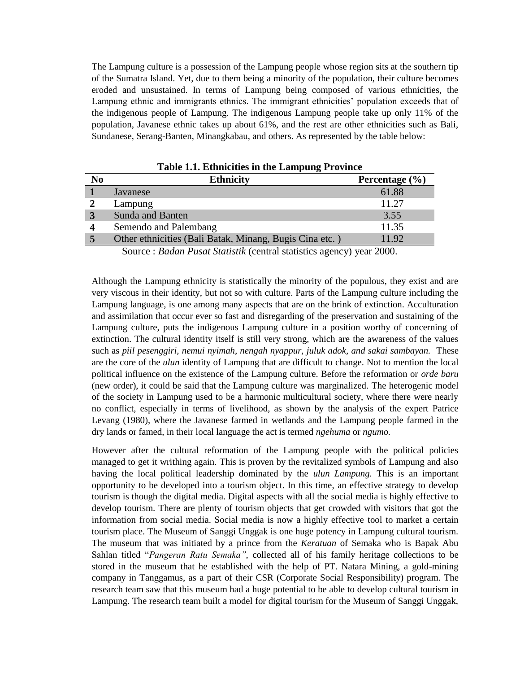The Lampung culture is a possession of the Lampung people whose region sits at the southern tip of the Sumatra Island. Yet, due to them being a minority of the population, their culture becomes eroded and unsustained. In terms of Lampung being composed of various ethnicities, the Lampung ethnic and immigrants ethnics. The immigrant ethnicities' population exceeds that of the indigenous people of Lampung. The indigenous Lampung people take up only 11% of the population, Javanese ethnic takes up about 61%, and the rest are other ethnicities such as Bali, Sundanese, Serang-Banten, Minangkabau, and others. As represented by the table below:

| N <sub>0</sub> | <b>Ethnicity</b>                                       | Percentage $(\% )$ |
|----------------|--------------------------------------------------------|--------------------|
|                | Javanese                                               | 61.88              |
|                | Lampung                                                | 11.27              |
|                | <b>Sunda and Banten</b>                                | 3.55               |
| Δ              | Semendo and Palembang                                  | 11.35              |
|                | Other ethnicities (Bali Batak, Minang, Bugis Cina etc. | 11.92              |

**Table 1.1. Ethnicities in the Lampung Province**

Source : *Badan Pusat Statistik* (central statistics agency) year 2000.

Although the Lampung ethnicity is statistically the minority of the populous, they exist and are very viscous in their identity, but not so with culture. Parts of the Lampung culture including the Lampung language, is one among many aspects that are on the brink of extinction. Acculturation and assimilation that occur ever so fast and disregarding of the preservation and sustaining of the Lampung culture, puts the indigenous Lampung culture in a position worthy of concerning of extinction. The cultural identity itself is still very strong, which are the awareness of the values such as *piil pesenggiri, nemui nyimah, nengah nyappur, juluk adok, and sakai sambayan.* These are the core of the *ulun* identity of Lampung that are difficult to change. Not to mention the local political influence on the existence of the Lampung culture. Before the reformation or *orde baru*  (new order), it could be said that the Lampung culture was marginalized. The heterogenic model of the society in Lampung used to be a harmonic multicultural society, where there were nearly no conflict, especially in terms of livelihood, as shown by the analysis of the expert Patrice Levang (1980), where the Javanese farmed in wetlands and the Lampung people farmed in the dry lands or famed, in their local language the act is termed *ngehuma* or *ngumo.*

However after the cultural reformation of the Lampung people with the political policies managed to get it writhing again. This is proven by the revitalized symbols of Lampung and also having the local political leadership dominated by the *ulun Lampung.* This is an important opportunity to be developed into a tourism object. In this time, an effective strategy to develop tourism is though the digital media. Digital aspects with all the social media is highly effective to develop tourism. There are plenty of tourism objects that get crowded with visitors that got the information from social media. Social media is now a highly effective tool to market a certain tourism place. The Museum of Sanggi Unggak is one huge potency in Lampung cultural tourism. The museum that was initiated by a prince from the *Keratuan* of Semaka who is Bapak Abu Sahlan titled "*Pangeran Ratu Semaka"*, collected all of his family heritage collections to be stored in the museum that he established with the help of PT. Natara Mining, a gold-mining company in Tanggamus, as a part of their CSR (Corporate Social Responsibility) program. The research team saw that this museum had a huge potential to be able to develop cultural tourism in Lampung. The research team built a model for digital tourism for the Museum of Sanggi Unggak,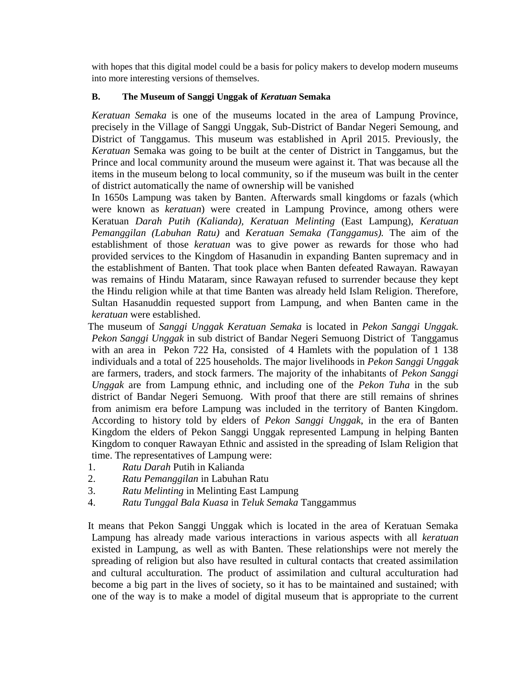with hopes that this digital model could be a basis for policy makers to develop modern museums into more interesting versions of themselves.

### **B. The Museum of Sanggi Unggak of** *Keratuan* **Semaka**

*Keratuan Semaka* is one of the museums located in the area of Lampung Province, precisely in the Village of Sanggi Unggak, Sub-District of Bandar Negeri Semoung, and District of Tanggamus. This museum was established in April 2015. Previously, the *Keratuan* Semaka was going to be built at the center of District in Tanggamus, but the Prince and local community around the museum were against it. That was because all the items in the museum belong to local community, so if the museum was built in the center of district automatically the name of ownership will be vanished

In 1650s Lampung was taken by Banten. Afterwards small kingdoms or fazals (which were known as *keratuan*) were created in Lampung Province, among others were Keratuan *Darah Putih (Kalianda), Keratuan Melinting* (East Lampung), *Keratuan Pemanggilan (Labuhan Ratu)* and *Keratuan Semaka (Tanggamus).* The aim of the establishment of those *keratuan* was to give power as rewards for those who had provided services to the Kingdom of Hasanudin in expanding Banten supremacy and in the establishment of Banten. That took place when Banten defeated Rawayan. Rawayan was remains of Hindu Mataram, since Rawayan refused to surrender because they kept the Hindu religion while at that time Banten was already held Islam Religion. Therefore, Sultan Hasanuddin requested support from Lampung, and when Banten came in the *keratuan* were established.

The museum of *Sanggi Unggak Keratuan Semaka* is located in *Pekon Sanggi Unggak. Pekon Sanggi Unggak* in sub district of Bandar Negeri Semuong District of Tanggamus with an area in Pekon 722 Ha, consisted of 4 Hamlets with the population of 1 138 individuals and a total of 225 households. The major livelihoods in *Pekon Sanggi Unggak* are farmers, traders, and stock farmers. The majority of the inhabitants of *Pekon Sanggi Unggak* are from Lampung ethnic, and including one of the *Pekon Tuha* in the sub district of Bandar Negeri Semuong. With proof that there are still remains of shrines from animism era before Lampung was included in the territory of Banten Kingdom. According to history told by elders of *Pekon Sanggi Unggak*, in the era of Banten Kingdom the elders of Pekon Sanggi Unggak represented Lampung in helping Banten Kingdom to conquer Rawayan Ethnic and assisted in the spreading of Islam Religion that time. The representatives of Lampung were:

- 1. *Ratu Darah* Putih in Kalianda
- 2. *Ratu Pemanggilan* in Labuhan Ratu
- 3. *Ratu Melinting* in Melinting East Lampung
- 4. *Ratu Tunggal Bala Kuasa* in *Teluk Semaka* Tanggammus

It means that Pekon Sanggi Unggak which is located in the area of Keratuan Semaka Lampung has already made various interactions in various aspects with all *keratuan* existed in Lampung, as well as with Banten. These relationships were not merely the spreading of religion but also have resulted in cultural contacts that created assimilation and cultural acculturation. The product of assimilation and cultural acculturation had become a big part in the lives of society, so it has to be maintained and sustained; with one of the way is to make a model of digital museum that is appropriate to the current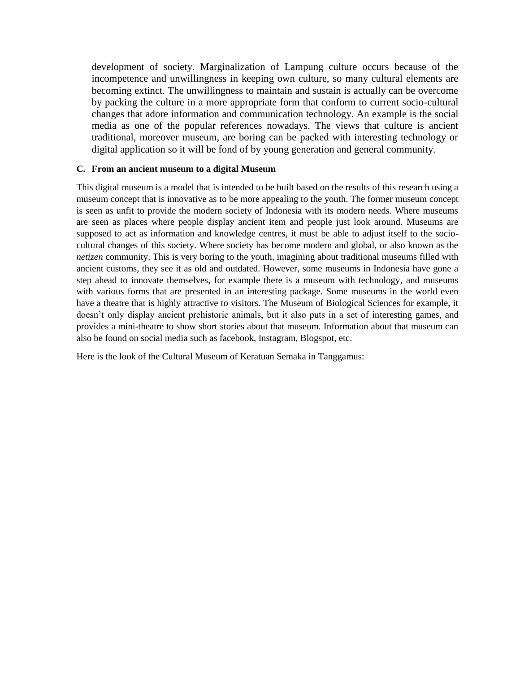development of society. Marginalization of Lampung culture occurs because of the incompetence and unwillingness in keeping own culture, so many cultural elements are becoming extinct. The unwillingness to maintain and sustain is actually can be overcome by packing the culture in a more appropriate form that conform to current socio-cultural changes that adore information and communication technology. An example is the social media as one of the popular references nowadays. The views that culture is ancient traditional, moreover museum, are boring can be packed with interesting technology or digital application so it will be fond of by young generation and general community.

#### **C. From an ancient museum to a digital Museum**

This digital museum is a model that is intended to be built based on the results of this research using a museum concept that is innovative as to be more appealing to the youth. The former museum concept is seen as unfit to provide the modern society of Indonesia with its modern needs. Where museums are seen as places where people display ancient item and people just look around. Museums are supposed to act as information and knowledge centres, it must be able to adjust itself to the sociocultural changes of this society. Where society has become modern and global, or also known as the *netizen* community. This is very boring to the youth, imagining about traditional museums filled with ancient customs, they see it as old and outdated. However, some museums in Indonesia have gone a step ahead to innovate themselves, for example there is a museum with technology, and museums with various forms that are presented in an interesting package. Some museums in the world even have a theatre that is highly attractive to visitors. The Museum of Biological Sciences for example, it doesn't only display ancient prehistoric animals, but it also puts in a set of interesting games, and provides a mini-theatre to show short stories about that museum. Information about that museum can also be found on social media such as facebook, Instagram, Blogspot, etc.

Here is the look of the Cultural Museum of Keratuan Semaka in Tanggamus: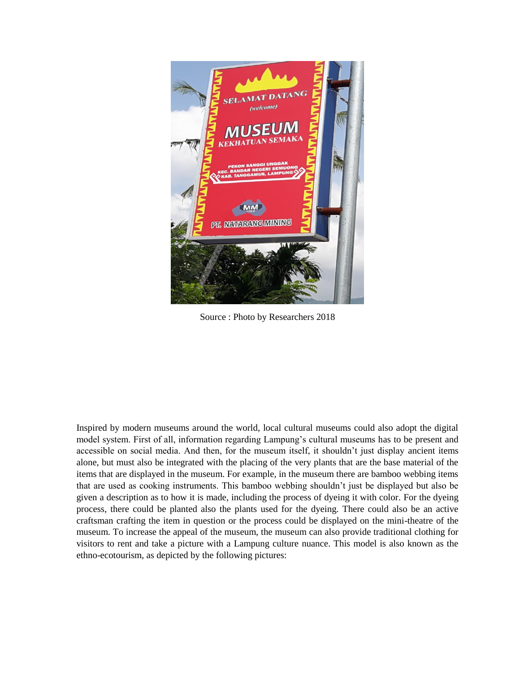

Source : Photo by Researchers 2018

Inspired by modern museums around the world, local cultural museums could also adopt the digital model system. First of all, information regarding Lampung's cultural museums has to be present and accessible on social media. And then, for the museum itself, it shouldn't just display ancient items alone, but must also be integrated with the placing of the very plants that are the base material of the items that are displayed in the museum. For example, in the museum there are bamboo webbing items that are used as cooking instruments. This bamboo webbing shouldn't just be displayed but also be given a description as to how it is made, including the process of dyeing it with color. For the dyeing process, there could be planted also the plants used for the dyeing. There could also be an active craftsman crafting the item in question or the process could be displayed on the mini-theatre of the museum. To increase the appeal of the museum, the museum can also provide traditional clothing for visitors to rent and take a picture with a Lampung culture nuance. This model is also known as the ethno-ecotourism, as depicted by the following pictures: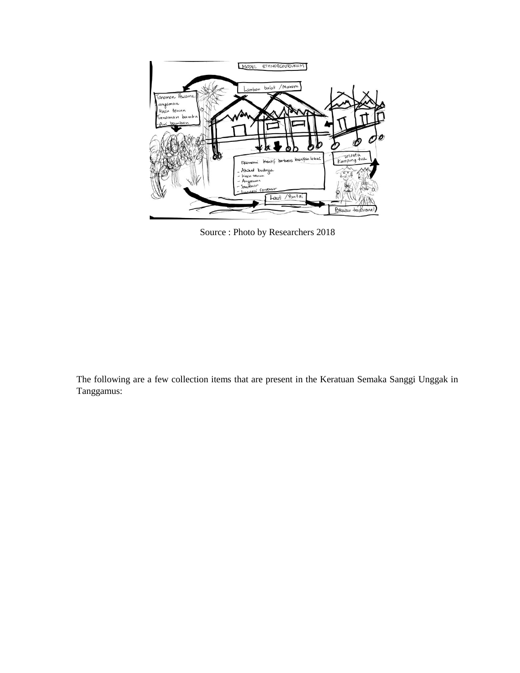

Source : Photo by Researchers 2018

The following are a few collection items that are present in the Keratuan Semaka Sanggi Unggak in Tanggamus: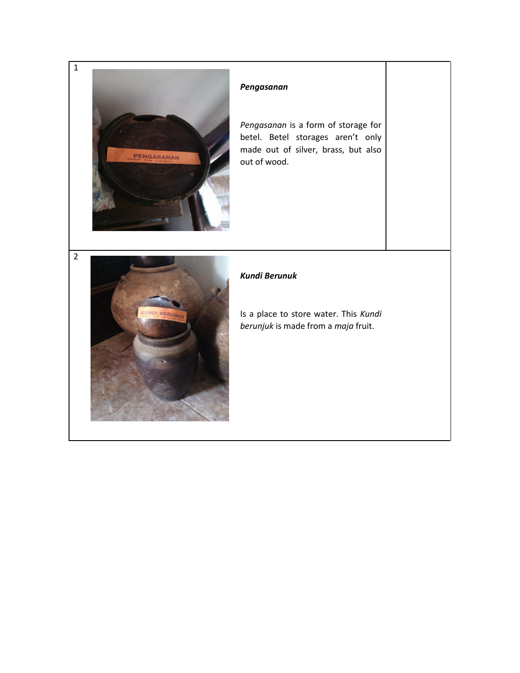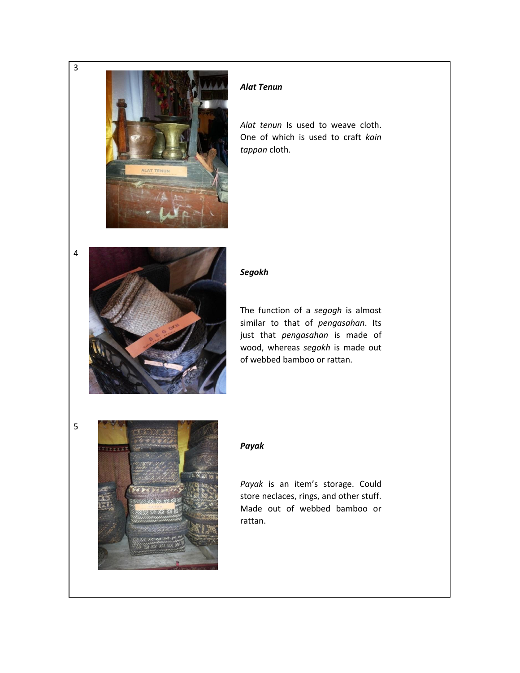

### *Alat Tenun*

*Alat tenun* Is used to weave cloth. One of which is used to craft *kain tappan* cloth.



### *Segokh*

The function of a *segogh* is almost similar to that of *pengasahan*. Its just that *pengasahan* is made of wood, whereas *segokh* is made out of webbed bamboo or rattan.



### *Payak*

*Payak* is an item's storage. Could store neclaces, rings, and other stuff. Made out of webbed bamboo or rattan.

4

5